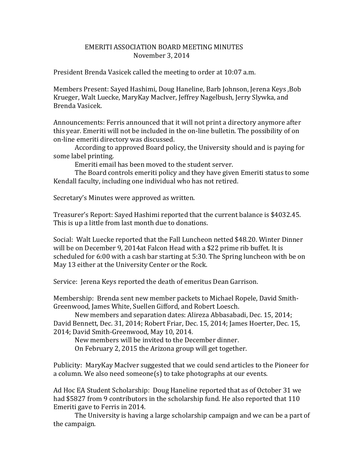## EMERITI ASSOCIATION BOARD MEETING MINUTES November 3, 2014

President Brenda Vasicek called the meeting to order at 10:07 a.m.

Members Present: Sayed Hashimi, Doug Haneline, Barb Johnson, Jerena Keys ,Bob Krueger, Walt Luecke, MaryKay MacIver, Jeffrey Nagelbush, Jerry Slywka, and Brenda Vasicek.

Announcements: Ferris announced that it will not print a directory anymore after this year. Emeriti will not be included in the on-line bulletin. The possibility of on on-line emeriti directory was discussed.

According to approved Board policy, the University should and is paying for some label printing.

Emeriti email has been moved to the student server.

The Board controls emeriti policy and they have given Emeriti status to some Kendall faculty, including one individual who has not retired.

Secretary's Minutes were approved as written.

Treasurer's Report: Sayed Hashimi reported that the current balance is \$4032.45. This is up a little from last month due to donations.

Social: Walt Luecke reported that the Fall Luncheon netted \$48.20. Winter Dinner will be on December 9, 2014at Falcon Head with a \$22 prime rib buffet. It is scheduled for 6:00 with a cash bar starting at 5:30. The Spring luncheon with be on May 13 either at the University Center or the Rock.

Service: Jerena Keys reported the death of emeritus Dean Garrison.

Membership: Brenda sent new member packets to Michael Ropele, David Smith-Greenwood, James White, Suellen Gifford, and Robert Loesch.

New members and separation dates: Alireza Abbasabadi, Dec. 15, 2014; David Bennett, Dec. 31, 2014; Robert Friar, Dec. 15, 2014; James Hoerter, Dec. 15, 2014; David Smith-Greenwood, May 10, 2014.

New members will be invited to the December dinner.

On February 2, 2015 the Arizona group will get together.

Publicity: MaryKay MacIver suggested that we could send articles to the Pioneer for a column. We also need someone(s) to take photographs at our events.

Ad Hoc EA Student Scholarship: Doug Haneline reported that as of October 31 we had \$5827 from 9 contributors in the scholarship fund. He also reported that 110 Emeriti gave to Ferris in 2014.

The University is having a large scholarship campaign and we can be a part of the campaign.